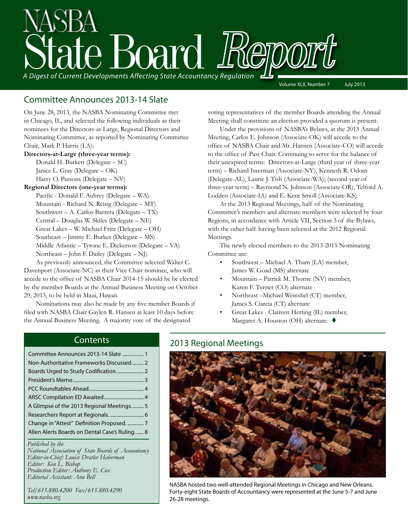# State Board Report *A Digest of Current Developments Affecting State Accountancy Regulation* Volume XLII, Number 7 July 2013

### Committee Announces 2013-14 Slate

On June 28, 2013, the NASBA Nominating Committee met in Chicago, IL, and selected the following individuals as their nominees for the Directors-at-Large, Regional Directors and Nominating Committee, as reported by Nominating Committee Chair, Mark P. Harris (LA):

### **Directors-at-Large (three-year terms):**

Donald H. Burkett (Delegate – SC) Janice L. Gray (Delegate – OK) Harry O. Parsons (Delegate – NV)

### **Regional Directors (one-year terms):**

 Pacific - Donald F. Aubrey (Delegate – WA) Mountain - Richard N. Reisig (Delegate – MT) Southwest – A. Carlos Barrera (Delegate – TX) Central – Douglas W. Skiles (Delegate – NE) Great Lakes – W. Michael Fritz (Delegate – OH) Southeast – Jimmy E. Burkes (Delegate – MS) Middle Atlantic – Tyrone E. Dickerson (Delegate – VA) Northeast – John F. Dailey (Delegate – NJ)

 As previously announced, the Committee selected Walter C. Davenport (Associate-NC) as their Vice Chair nominee, who will accede to the office of NASBA Chair 2014-15 should he be elected by the member Boards at the Annual Business Meeting on October 29, 2013, to be held in Maui, Hawaii.

 Nominations may also be made by any five member Boards if filed with NASBA Chair Gaylen R. Hansen at least 10 days before the Annual Business Meeting. A majority vote of the designated

voting representatives of the member Boards attending the Annual Meeting shall constitute an election provided a quorum is present.

Under the provisions of NASBA's Bylaws, at the 2013 Annual Meeting, Carlos E. Johnson (Associate-OK) will accede to the office of NASBA Chair and Mr. Hansen (Associate-CO) will accede to the office of Past Chair. Continuing to serve for the balance of their unexpired terms: Directors-at-Large (third year of three-year term) – Richard Isserman (Associate-NY), Kenneth R. Odom (Delegate-AL), Laurie J. Tish (Associate-WA); (second year of three-year term) – Raymond N. Johnson (Associate-OR), Telford A. Lodden (Associate-IA) and E. Kent Smoll (Associate-KS).

At the 2013 Regional Meetings, half of the Nominating Committee's members and alternate members were selected by four Regions, in accordance with Article VII, Section 3 of the Bylaws, with the other half having been selected at the 2012 Regional Meetings.

 The newly elected members to the 2013-2015 Nominating Committee are:

- Southwest Michael A. Tham (LA) member, James W. Goad (MS) alternate
- Mountain Patrick M. Thorne (NV) member, Karen F. Turner (CO) alternate
- Northeast –Michael Weinshel (CT) member, James S. Ciarcia (CT) alternate
- Great Lakes Claireen Herting (IL) member, Margaret A. Houston (OH) alternate.  $\blacklozenge$

### **Contents**

| Committee Announces 2013-14 Slate  1          |
|-----------------------------------------------|
| Non-Authoritative Frameworks Discussed  2     |
|                                               |
|                                               |
|                                               |
|                                               |
| A Glimpse of the 2013 Regional Meetings 5     |
| Researchers Report at Regionals.  6           |
| Change in "Attest" Definition Proposed.  7    |
| Allen Alerts Boards on Dental Case's Ruling 8 |

*Published by the National Association of State Boards of Accountancy Editor-in-Chief: Louise Dratler Haberman Editor: Ken L. Bishop Production Editor: Anthony E. Cox Editorial Assistant: Ann Bell* 

*Tel/615.880.4200 Fax/615.880.4290 www.nasba.org*

### 2013 Regional Meetings



NASBA hosted two well-attended Regional Meetings in Chicago and New Orleans. Forty-eight State Boards of Accountancy were represented at the June 5-7 and June 26-28 meetings.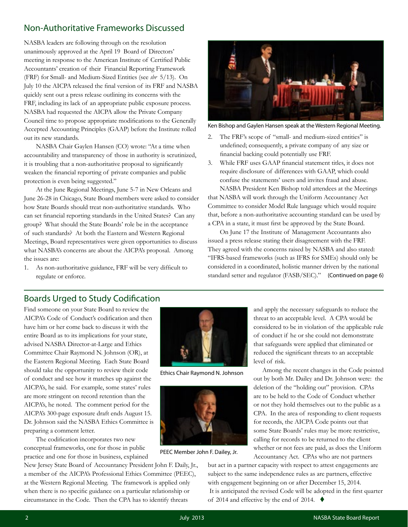### <span id="page-1-0"></span>Non-Authoritative Frameworks Discussed

NASBA leaders are following through on the resolution unanimously approved at the April 19 Board of Directors' meeting in response to the American Institute of Certified Public Accountants' creation of their Financial Reporting Framework (FRF) for Small- and Medium-Sized Entities (see *sbr* 5/13). On July 10 the AICPA released the final version of its FRF and NASBA quickly sent out a press release outlining its concerns with the FRF, including its lack of an appropriate public exposure process. NASBA had requested the AICPA allow the Private Company Council time to propose appropriate modifications to the Generally Accepted Accounting Principles (GAAP) before the Institute rolled out its new standards.

NASBA Chair Gaylen Hansen (CO) wrote: "At a time when accountability and transparency of those in authority is scrutinized, it is troubling that a non-authoritative proposal to significantly weaken the financial reporting of private companies and public protection is even being suggested."

 At the June Regional Meetings, June 5-7 in New Orleans and June 26-28 in Chicago, State Board members were asked to consider how State Boards should treat non-authoritative standards. Who can set financial reporting standards in the United States? Can any group? What should the State Boards' role be in the acceptance of such standards? At both the Eastern and Western Regional Meetings, Board representatives were given opportunities to discuss what NASBA's concerns are about the AICPA's proposal. Among the issues are:

1. As non-authoritative guidance, FRF will be very difficult to regulate or enforce.



Ken Bishop and Gaylen Hansen speak at the Western Regional Meeting.

- 2. The FRF's scope of "small- and medium-sized entities" is undefined; consequently, a private company of any size or financial backing could potentially use FRF.
- 3. While FRF uses GAAP financial statement titles, it does not require disclosure of differences with GAAP, which could confuse the statements' users and invites fraud and abuse.

NASBA President Ken Bishop told attendees at the Meetings that NASBA will work through the Uniform Accountancy Act Committee to consider Model Rule language which would require that, before a non-authoritative accounting standard can be used by a CPA in a state, it must first be approved by the State Board.

 On June 17 the Institute of Management Accountants also issued a press release stating their disagreement with the FRF. They agreed with the concerns raised by NASBA and also stated: "IFRS-based frameworks (such as IFRS for SMEs) should only be considered in a coordinated, holistic manner driven by the national standard setter and regulator (FASB/SEC)." (Continued on page 6)

### Boards Urged to Study Codification

Find someone on your State Board to review the AICPA's Code of Conduct's codification and then have him or her come back to discuss it with the entire Board as to its implications for your state, advised NASBA Director-at-Large and Ethics Committee Chair Raymond N. Johnson (OR), at the Eastern Regional Meeting. Each State Board should take the opportunity to review their code of conduct and see how it matches up against the AICPA's, he said. For example, some states' rules are more stringent on record retention than the AICPA's, he noted. The comment period for the AICPA's 300-page exposure draft ends August 15. Dr. Johnson said the NASBA Ethics Committee is preparing a comment letter.

 The codification incorporates two new conceptual frameworks, one for those in public practice and one for those in business, explained

New Jersey State Board of Accountancy President John F. Daily, Jr., a member of the AICPA's Professional Ethics Committee (PEEC), at the Western Regional Meeting. The framework is applied only when there is no specific guidance on a particular relationship or circumstance in the Code. Then the CPA has to identify threats



Ethics Chair Raymond N. Johnson



PEEC Member John F. Dailey, Jr.

and apply the necessary safeguards to reduce the threat to an acceptable level. A CPA would be considered to be in violation of the applicable rule of conduct if he or she could not demonstrate that safeguards were applied that eliminated or reduced the significant threats to an acceptable level of risk.

 Among the recent changes in the Code pointed out by both Mr. Dailey and Dr. Johnson were: the deletion of the "holding out" provision. CPAs are to be held to the Code of Conduct whether or not they hold themselves out to the public as a CPA. In the area of responding to client requests for records, the AICPA Code points out that some State Boards' rules may be more restrictive, calling for records to be returned to the client whether or not fees are paid, as does the Uniform Accountancy Act. CPAs who are not partners

but act in a partner capacity with respect to attest engagements are subject to the same independence rules as are partners, effective with engagement beginning on or after December 15, 2014. It is anticipated the revised Code will be adopted in the first quarter of 2014 and effective by the end of 2014.  $\blacklozenge$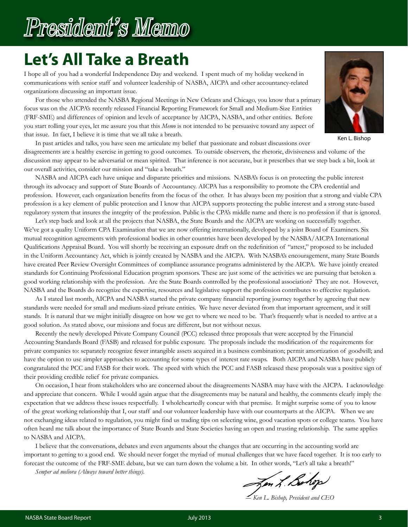# **Let's All Take a Breath**

I hope all of you had a wonderful Independence Day and weekend. I spent much of my holiday weekend in communications with senior staff and volunteer leadership of NASBA, AICPA and other accountancy-related organizations discussing an important issue.

 For those who attended the NASBA Regional Meetings in New Orleans and Chicago, you know that a primary focus was on the AICPA's recently released Financial Reporting Framework for Small and Medium-Size Entities (FRF-SME) and differences of opinion and levels of acceptance by AICPA, NASBA, and other entities. Before you start rolling your eyes, let me assure you that this *Memo* is not intended to be persuasive toward any aspect of that issue. In fact, I believe it is time that we all take a breath.



Ken L. Bishop

In past articles and talks, you have seen me articulate my belief that passionate and robust discussions over disagreements are a healthy exercise in getting to good outcomes. To outside observers, the rhetoric, divisiveness and volume of the discussion may appear to be adversarial or mean spirited. That inference is not accurate, but it prescribes that we step back a bit, look at our overall activities, consider our mission and "take a breath."

NASBA and AICPA each have unique and disparate priorities and missions. NASBA's focus is on protecting the public interest through its advocacy and support of State Boards of Accountancy. AICPA has a responsibility to promote the CPA credential and profession. However, each organization benefits from the focus of the other. It has always been my position that a strong and viable CPA profession is a key element of public protection and I know that AICPA supports protecting the public interest and a strong state-based regulatory system that insures the integrity of the profession. Public is the CPA's middle name and there is no profession if that is ignored.

Let's step back and look at all the projects that NASBA, the State Boards and the AICPA are working on successfully together. We've got a quality Uniform CPA Examination that we are now offering internationally, developed by a joint Board of Examiners. Six mutual recognition agreements with professional bodies in other countries have been developed by the NASBA/AICPA International Qualifications Appraisal Board. You will shortly be receiving an exposure draft on the redefinition of "attest," proposed to be included in the Uniform Accountancy Act, which is jointly created by NASBA and the AICPA. With NASBA's encouragement, many State Boards have created Peer Review Oversight Committees of compliance assurance programs administered by the AICPA. We have jointly created standards for Continuing Professional Education program sponsors. These are just some of the activities we are pursuing that betoken a good working relationship with the profession. Are the State Boards controlled by the professional association? They are not. However, NASBA and the Boards do recognize the expertise, resources and legislative support the profession contributes to effective regulation.

 As I stated last month, AICPA and NASBA started the private company financial reporting journey together by agreeing that new standards were needed for small and medium-sized private entities. We have never deviated from that important agreement, and it still stands. It is natural that we might initially disagree on how we get to where we need to be. That's frequently what is needed to arrive at a good solution. As stated above, our missions and focus are different, but not without nexus.

 Recently the newly developed Private Company Council (PCC) released three proposals that were accepted by the Financial Accounting Standards Board (FASB) and released for public exposure. The proposals include the modification of the requirements for private companies to: separately recognize fewer intangible assets acquired in a business combination; permit amortization of goodwill; and have the option to use simpler approaches to accounting for some types of interest rate swaps. Both AICPA and NASBA have publicly congratulated the PCC and FASB for their work. The speed with which the PCC and FASB released these proposals was a positive sign of their providing credible relief for private companies.

On occasion, I hear from stakeholders who are concerned about the disagreements NASBA may have with the AICPA. I acknowledge and appreciate that concern. While I would again argue that the disagreements may be natural and healthy, the comments clearly imply the expectation that we address these issues respectfully. I wholeheartedly concur with that premise. It might surprise some of you to know of the great working relationship that I, our staff and our volunteer leadership have with our counterparts at the AICPA. When we are not exchanging ideas related to regulation, you might find us trading tips on selecting wine, good vacation spots or college teams. You have often heard me talk about the importance of State Boards and State Societies having an open and trusting relationship. The same applies to NASBA and AICPA.

I believe that the conversations, debates and even arguments about the changes that are occurring in the accounting world are important to getting to a good end. We should never forget the myriad of mutual challenges that we have faced together. It is too early to forecast the outcome of the FRF-SME debate, but we can turn down the volume a bit. In other words, "Let's all take a breath!"

*Semper ad meliora (Always toward better things).*

Jon L. Bolop

*― Ken L. Bishop, President and CEO*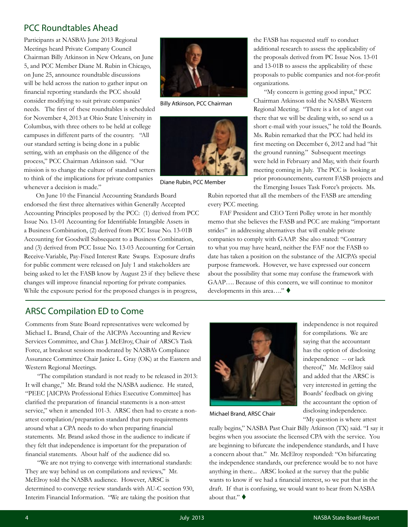### <span id="page-3-0"></span>PCC Roundtables Ahead

Participants at NASBA's June 2013 Regional Meetings heard Private Company Council Chairman Billy Atkinson in New Orleans, on June 5, and PCC Member Diane M. Rubin in Chicago, on June 25, announce roundtable discussions will be held across the nation to gather input on financial reporting standards the PCC should consider modifying to suit private companies' needs. The first of these roundtables is scheduled for November 4, 2013 at Ohio State University in Columbus, with three others to be held at college campuses in different parts of the country. "All our standard setting is being done in a public setting, with an emphasis on the diligence of the process," PCC Chairman Atkinson said. "Our mission is to change the culture of standard setters to think of the implications for private companies whenever a decision is made."

 On June 10 the Financial Accounting Standards Board endorsed the first three alternatives within Generally Accepted Accounting Principles proposed by the PCC: (1) derived from PCC Issue No. 13-01 Accounting for Identifiable Intangible Assets in a Business Combination, (2) derived from PCC Issue No. 13-01B Accounting for Goodwill Subsequent to a Business Combination, and (3) derived from PCC Issue No. 13-03 Accounting for Certain Receive-Variable, Pay-Fixed Interest Rate Swaps. Exposure drafts for public comment were released on July 1 and stakeholders are being asked to let the FASB know by August 23 if they believe these changes will improve financial reporting for private companies. While the exposure period for the proposed changes is in progress,



Billy Atkinson, PCC Chairman



Diane Rubin, PCC Member

the FASB has requested staff to conduct additional research to assess the applicability of the proposals derived from PC Issue Nos. 13-01 and 13-01B to assess the applicability of these proposals to public companies and not-for-profit organizations.

 "My concern is getting good input," PCC Chairman Atkinson told the NASBA Western Regional Meeting. "There is a lot of angst out there that we will be dealing with, so send us a short e-mail with your issues," he told the Boards. Ms. Rubin remarked that the PCC had held its first meeting on December 6, 2012 and had "hit the ground running." Subsequent meetings were held in February and May, with their fourth meeting coming in July. The PCC is looking at prior pronouncements, current FASB projects and the Emerging Issues Task Force's projects. Ms.

Rubin reported that all the members of the FASB are attending every PCC meeting.

 FAF President and CEO Terri Polley wrote in her monthly memo that she believes the FASB and PCC are making "important strides" in addressing alternatives that will enable private companies to comply with GAAP. She also stated: "Contrary to what you may have heard, neither the FAF nor the FASB to date has taken a position on the substance of the AICPA's special purpose framework. However, we have expressed our concern about the possibility that some may confuse the framework with GAAP…. Because of this concern, we will continue to monitor developments in this area...."  $\blacklozenge$ 

### ARSC Compilation ED to Come

Comments from State Board representatives were welcomed by Michael L. Brand, Chair of the AICPA's Accounting and Review Services Committee, and Chas J. McElroy, Chair of ARSC's Task Force, at breakout sessions moderated by NASBA's Compliance Assurance Committee Chair Janice L. Gray (OK) at the Eastern and Western Regional Meetings.

"The compilation standard is not ready to be released in 2013: It will change," Mr. Brand told the NASBA audience. He stated, "PEEC [AICPA's Professional Ethics Executive Committee] has clarified the preparation of financial statements is a non-attest service," when it amended 101-3. ARSC then had to create a nonattest compilation/preparation standard that puts requirements around what a CPA needs to do when preparing financial statements. Mr. Brand asked those in the audience to indicate if they felt that independence is important for the preparation of financial statements. About half of the audience did so.

 "We are not trying to converge with international standards: They are way behind us on compilations and reviews," Mr. McElroy told the NASBA audience. However, ARSC is determined to converge review standards with AU-C section 930, Interim Financial Information. "We are taking the position that



Michael Brand, ARSC Chair

independence is not required for compilations. We are saying that the accountant has the option of disclosing independence -- or lack thereof," Mr. McElroy said and added that the ARSC is very interested in getting the Boards' feedback on giving the accountant the option of disclosing independence. "My question is where attest

really begins," NASBA Past Chair Billy Atkinson (TX) said. "I say it begins when you associate the licensed CPA with the service. You are beginning to bifurcate the independence standards, and I have a concern about that." Mr. McElroy responded: "On bifurcating the independence standards, our preference would be to not have anything in there... ARSC looked at the survey that the public wants to know if we had a financial interest, so we put that in the draft. If that is confusing, we would want to hear from NASBA about that."  $\blacklozenge$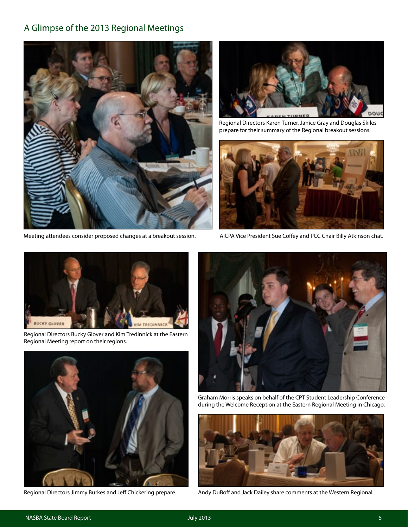### <span id="page-4-0"></span>A Glimpse of the 2013 Regional Meetings



Meeting attendees consider proposed changes at a breakout session.



Regional Directors Karen Turner, Janice Gray and Douglas Skiles prepare for their summary of the Regional breakout sessions.



AICPA Vice President Sue Coffey and PCC Chair Billy Atkinson chat.



Regional Directors Bucky Glover and Kim Tredinnick at the Eastern Regional Meeting report on their regions.



Regional Directors Jimmy Burkes and Jeff Chickering prepare.



Graham Morris speaks on behalf of the CPT Student Leadership Conference during the Welcome Reception at the Eastern Regional Meeting in Chicago.



Andy DuBoff and Jack Dailey share comments at the Western Regional.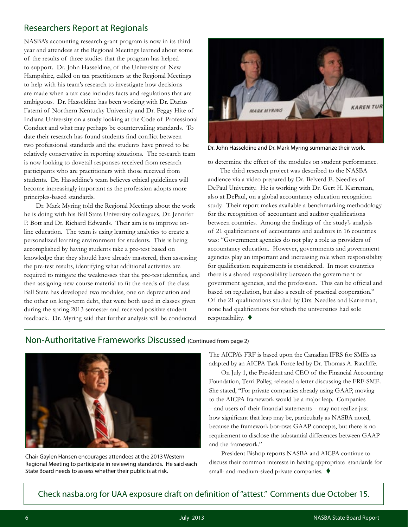### <span id="page-5-0"></span>Researchers Report at Regionals

NASBA's accounting research grant program is now in its third year and attendees at the Regional Meetings learned about some of the results of three studies that the program has helped to support. Dr. John Hasseldine, of the University of New Hampshire, called on tax practitioners at the Regional Meetings to help with his team's research to investigate how decisions are made when a tax case includes facts and regulations that are ambiguous. Dr. Hasseldine has been working with Dr. Darius Fatemi of Northern Kentucky University and Dr. Peggy Hite of Indiana University on a study looking at the Code of Professional Conduct and what may perhaps be countervailing standards. To date their research has found students find conflict between two professional standards and the students have proved to be relatively conservative in reporting situations. The research team is now looking to dovetail responses received from research participants who are practitioners with those received from students. Dr. Hasseldine's team believes ethical guidelines will become increasingly important as the profession adopts more principles-based standards.

Dr. Mark Myring told the Regional Meetings about the work he is doing with his Ball State University colleagues, Dr. Jennifer P. Bott and Dr. Richard Edwards. Their aim is to improve online education. The team is using learning analytics to create a personalized learning environment for students. This is being accomplished by having students take a pre-test based on knowledge that they should have already mastered, then assessing the pre-test results, identifying what additional activities are required to mitigate the weaknesses that the pre-test identifies, and then assigning new course material to fit the needs of the class. Ball State has developed two modules, one on depreciation and the other on long-term debt, that were both used in classes given during the spring 2013 semester and received positive student feedback. Dr. Myring said that further analysis will be conducted



Dr. John Hasseldine and Dr. Mark Myring summarize their work.

to determine the effect of the modules on student performance.

The third research project was described to the NASBA audience via a video prepared by Dr. Belverd E. Needles of DePaul University. He is working with Dr. Gert H. Karreman, also at DePaul, on a global accountancy education recognition study. Their report makes available a benchmarking methodology for the recognition of accountant and auditor qualifications between countries. Among the findings of the study's analysis of 21 qualifications of accountants and auditors in 16 countries was: "Government agencies do not play a role as providers of accountancy education. However, governments and government agencies play an important and increasing role when responsibility for qualification requirements is considered. In most countries there is a shared responsibility between the government or government agencies, and the profession. This can be official and based on regulation, but also a result of practical cooperation." Of the 21 qualifications studied by Drs. Needles and Karreman, none had qualifications for which the universities had sole responsibility.  $\blacklozenge$ 

### Non-Authoritative Frameworks Discussed (Continued from page 2)



Chair Gaylen Hansen encourages attendees at the 2013 Western Regional Meeting to participate in reviewing standards. He said each State Board needs to assess whether their public is at risk.

The AICPA's FRF is based upon the Canadian IFRS for SMEs as adapted by an AICPA Task Force led by Dr. Thomas A. Ratcliffe.

 On July 1, the President and CEO of the Financial Accounting Foundation, Terri Polley, released a letter discussing the FRF-SME. She stated, "For private companies already using GAAP, moving to the AICPA framework would be a major leap. Companies – and users of their financial statements – may not realize just how significant that leap may be, particularly as NASBA noted, because the framework borrows GAAP concepts, but there is no requirement to disclose the substantial differences between GAAP and the framework."

President Bishop reports NASBA and AICPA continue to discuss their common interests in having appropriate standards for small- and medium-sized private companies.  $\blacklozenge$ 

Check nasba.org for UAA exposure draft on definition of "attest." Comments due October 15.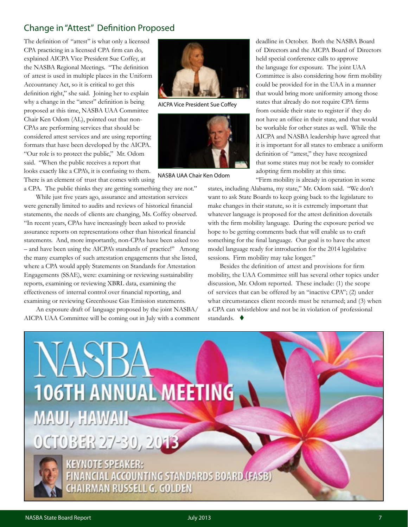## <span id="page-6-0"></span>Change in "Attest" Definition Proposed

The definition of "attest" is what only a licensed CPA practicing in a licensed CPA firm can do, explained AICPA Vice President Sue Coffey, at the NASBA Regional Meetings. "The definition of attest is used in multiple places in the Uniform Accountancy Act, so it is critical to get this definition right," she said. Joining her to explain why a change in the "attest" definition is being proposed at this time, NASBA UAA Committee Chair Ken Odom (AL), pointed out that non-CPAs are performing services that should be considered attest services and are using reporting formats that have been developed by the AICPA. "Our role is to protect the public," Mr. Odom said. "When the public receives a report that looks exactly like a CPA's, it is confusing to them. There is an element of trust that comes with using

AICPA Vice President Sue Coffey



NASBA UAA Chair Ken Odom

a CPA. The public thinks they are getting something they are not."

 While just five years ago, assurance and attestation services were generally limited to audits and reviews of historical financial statements, the needs of clients are changing, Ms. Coffey observed. "In recent years, CPAs have increasingly been asked to provide assurance reports on representations other than historical financial statements. And, more importantly, non-CPAs have been asked too – and have been using the AICPA's standards of practice!" Among the many examples of such attestation engagements that she listed, where a CPA would apply Statements on Standards for Attestation Engagements (SSAE), were: examining or reviewing sustainability reports, examining or reviewing XBRL data, examining the effectiveness of internal control over financial reporting, and examining or reviewing Greenhouse Gas Emission statements.

 An exposure draft of language proposed by the joint NASBA/ AICPA UAA Committee will be coming out in July with a comment deadline in October. Both the NASBA Board of Directors and the AICPA Board of Directors held special conference calls to approve the language for exposure. The joint UAA Committee is also considering how firm mobility could be provided for in the UAA in a manner that would bring more uniformity among those states that already do not require CPA firms from outside their state to register if they do not have an office in their state, and that would be workable for other states as well. While the AICPA and NASBA leadership have agreed that it is important for all states to embrace a uniform definition of "attest," they have recognized that some states may not be ready to consider adopting firm mobility at this time.

 "Firm mobility is already in operation in some states, including Alabama, my state," Mr. Odom said. "We don't want to ask State Boards to keep going back to the legislature to make changes in their statute, so it is extremely important that whatever language is proposed for the attest definition dovetails with the firm mobility language. During the exposure period we hope to be getting comments back that will enable us to craft something for the final language. Our goal is to have the attest model language ready for introduction for the 2014 legislative sessions. Firm mobility may take longer."

 Besides the definition of attest and provisions for firm mobility, the UAA Committee still has several other topics under discussion, Mr. Odom reported. These include: (1) the scope of services that can be offered by an "inactive CPA"; (2) under what circumstances client records must be returned; and (3) when a CPA can whistleblow and not be in violation of professional standards.  $\blacklozenge$